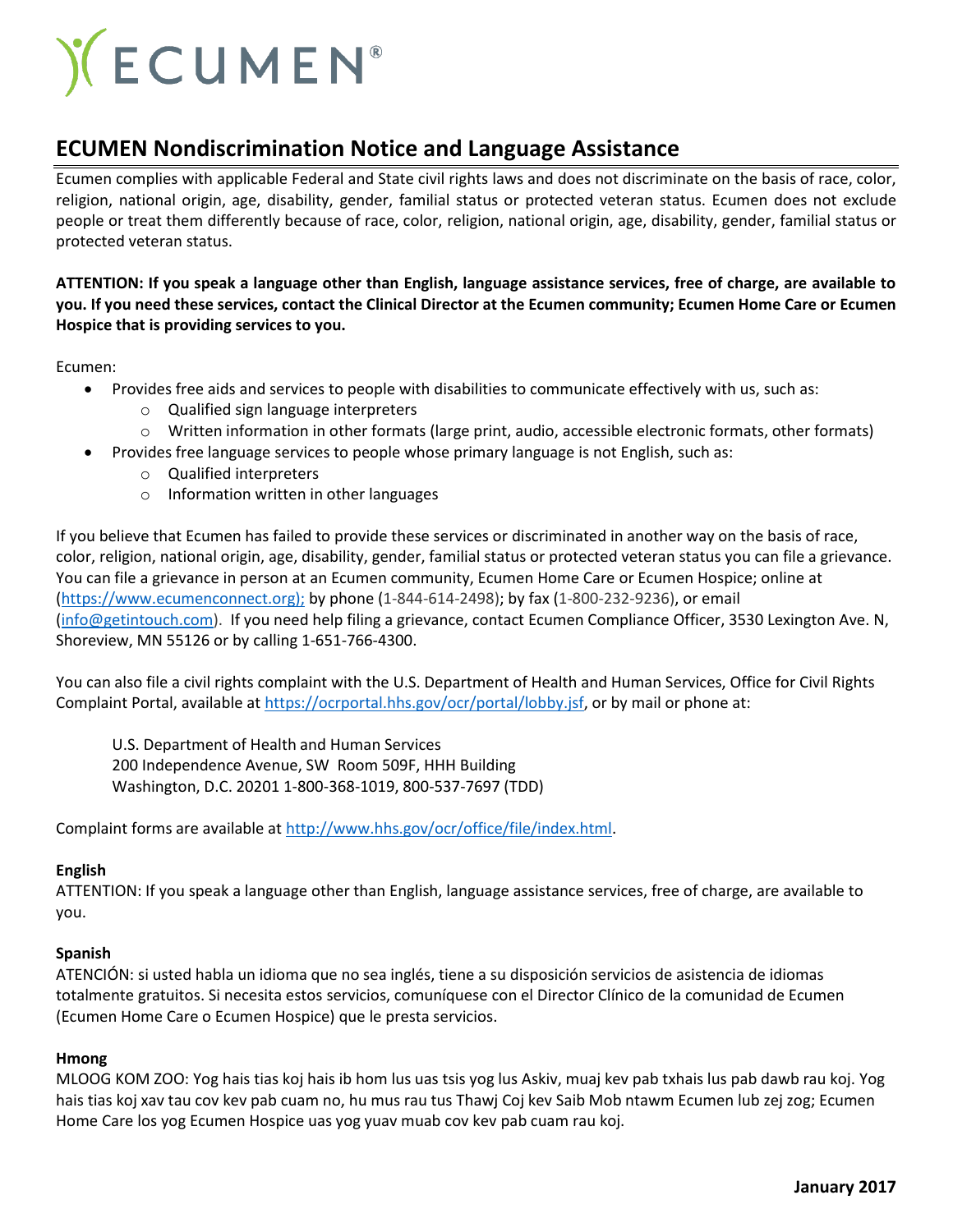# **) CUMEN**

# **ECUMEN Nondiscrimination Notice and Language Assistance**

Ecumen complies with applicable Federal and State civil rights laws and does not discriminate on the basis of race, color, religion, national origin, age, disability, gender, familial status or protected veteran status. Ecumen does not exclude people or treat them differently because of race, color, religion, national origin, age, disability, gender, familial status or protected veteran status.

# **ATTENTION: If you speak a language other than English, language assistance services, free of charge, are available to you. If you need these services, contact the Clinical Director at the Ecumen community; Ecumen Home Care or Ecumen Hospice that is providing services to you.**

Ecumen:

- Provides free aids and services to people with disabilities to communicate effectively with us, such as:
	- o Qualified sign language interpreters
	- o Written information in other formats (large print, audio, accessible electronic formats, other formats)
- Provides free language services to people whose primary language is not English, such as:
	- o Qualified interpreters
	- o Information written in other languages

If you believe that Ecumen has failed to provide these services or discriminated in another way on the basis of race, color, religion, national origin, age, disability, gender, familial status or protected veteran status you can file a grievance. You can file a grievance in person at an Ecumen community, Ecumen Home Care or Ecumen Hospice; online at [\(https://www.ecumenconnect.org\);](https://www.intouchwebsite.com/);) by phone (1-844-614-2498); by fax (1-800-232-9236), or email [\(info@getintouch.com\)](mailto:info@getintouch.com). If you need help filing a grievance, contact Ecumen Compliance Officer, 3530 Lexington Ave. N, Shoreview, MN 55126 or by calling 1-651-766-4300.

You can also file a civil rights complaint with the U.S. Department of Health and Human Services, Office for Civil Rights Complaint Portal, available at [https://ocrportal.hhs.gov/ocr/portal/lobby.jsf,](https://ocrportal.hhs.gov/ocr/portal/lobby.jsf) or by mail or phone at:

U.S. Department of Health and Human Services 200 Independence Avenue, SW Room 509F, HHH Building Washington, D.C. 20201 1-800-368-1019, 800-537-7697 (TDD)

Complaint forms are available a[t http://www.hhs.gov/ocr/office/file/index.html.](http://www.hhs.gov/ocr/office/file/index.html)

# **English**

ATTENTION: If you speak a language other than English, language assistance services, free of charge, are available to you.

# **Spanish**

ATENCIÓN: si usted habla un idioma que no sea inglés, tiene a su disposición servicios de asistencia de idiomas totalmente gratuitos. Si necesita estos servicios, comuníquese con el Director Clínico de la comunidad de Ecumen (Ecumen Home Care o Ecumen Hospice) que le presta servicios.

#### **Hmong**

MLOOG KOM ZOO: Yog hais tias koj hais ib hom lus uas tsis yog lus Askiv, muaj kev pab txhais lus pab dawb rau koj. Yog hais tias koj xav tau cov kev pab cuam no, hu mus rau tus Thawj Coj kev Saib Mob ntawm Ecumen lub zej zog; Ecumen Home Care los yog Ecumen Hospice uas yog yuav muab cov kev pab cuam rau koj.